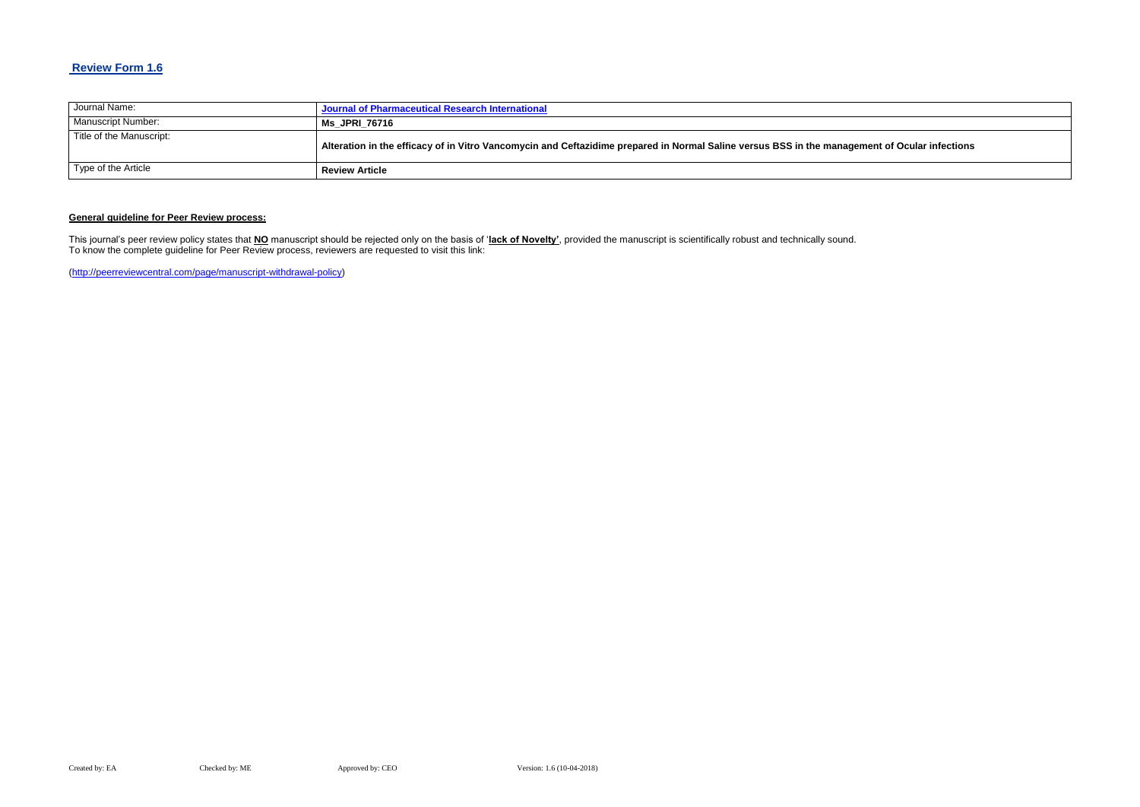## **Review Form 1.6**

| Journal Name:            | Journal of Pharmaceutical Research International                                                                      |
|--------------------------|-----------------------------------------------------------------------------------------------------------------------|
| Manuscript Number:       | <b>Ms JPRI 76716</b>                                                                                                  |
| Title of the Manuscript: | Alteration in the efficacy of in Vitro Vancomycin and Ceftazidime prepared in Normal Saline versus BSS in the manager |
| Type of the Article      | <b>Review Article</b>                                                                                                 |

### **General guideline for Peer Review process:**

This journal's peer review policy states that **NO** manuscript should be rejected only on the basis of '**lack of Novelty'**, provided the manuscript is scientifically robust and technically sound. To know the complete guideline for Peer Review process, reviewers are requested to visit this link:

[\(http://peerreviewcentral.com/page/manuscript-withdrawal-policy\)](http://peerreviewcentral.com/page/manuscript-withdrawal-policy)

#### **Ment of Ocular infections**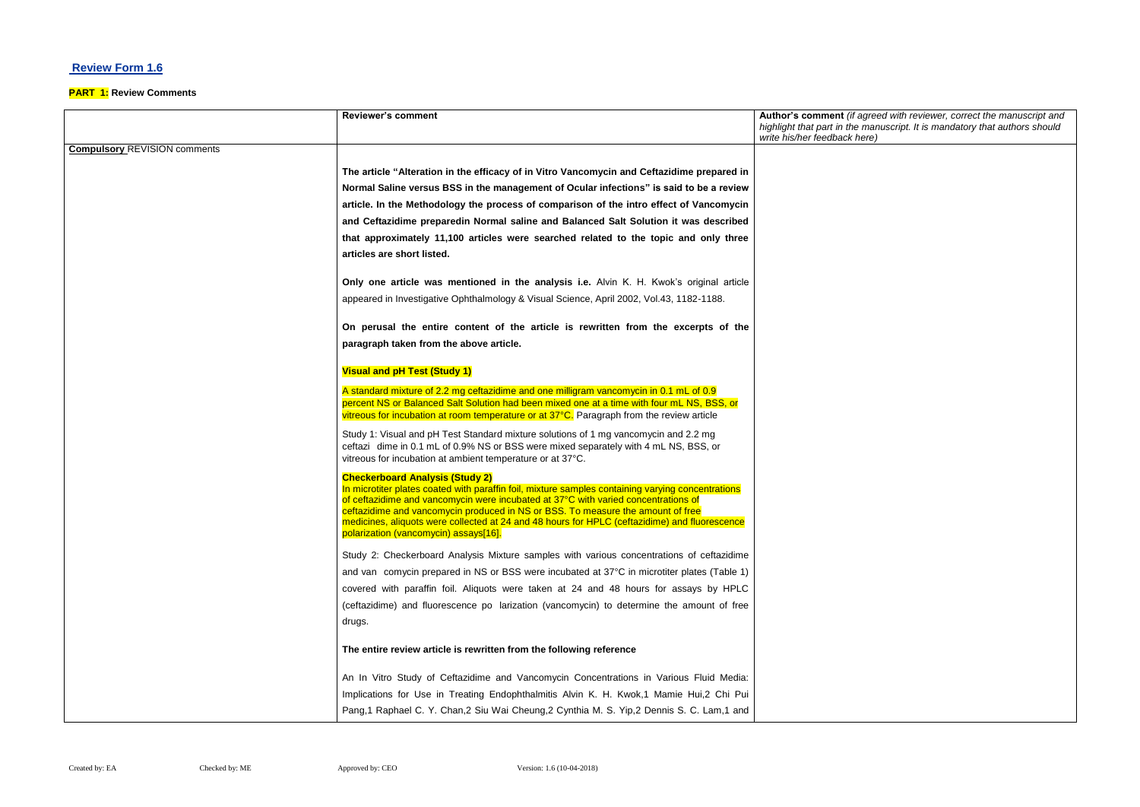## **Review Form 1.6**

#### **PART 1: Review Comments**

|                                     | <b>Reviewer's comment</b>                                                                                                                                                                                                                                                                                                                                                                                                                                      | Author's comment (if agreed with reviewer, correct the manuscript and<br>highlight that part in the manuscript. It is mandatory that authors should<br>write his/her feedback here) |
|-------------------------------------|----------------------------------------------------------------------------------------------------------------------------------------------------------------------------------------------------------------------------------------------------------------------------------------------------------------------------------------------------------------------------------------------------------------------------------------------------------------|-------------------------------------------------------------------------------------------------------------------------------------------------------------------------------------|
| <b>Compulsory REVISION comments</b> |                                                                                                                                                                                                                                                                                                                                                                                                                                                                |                                                                                                                                                                                     |
|                                     | The article "Alteration in the efficacy of in Vitro Vancomycin and Ceftazidime prepared in                                                                                                                                                                                                                                                                                                                                                                     |                                                                                                                                                                                     |
|                                     | Normal Saline versus BSS in the management of Ocular infections" is said to be a review                                                                                                                                                                                                                                                                                                                                                                        |                                                                                                                                                                                     |
|                                     | article. In the Methodology the process of comparison of the intro effect of Vancomycin                                                                                                                                                                                                                                                                                                                                                                        |                                                                                                                                                                                     |
|                                     | and Ceftazidime preparedin Normal saline and Balanced Salt Solution it was described                                                                                                                                                                                                                                                                                                                                                                           |                                                                                                                                                                                     |
|                                     | that approximately 11,100 articles were searched related to the topic and only three                                                                                                                                                                                                                                                                                                                                                                           |                                                                                                                                                                                     |
|                                     | articles are short listed.                                                                                                                                                                                                                                                                                                                                                                                                                                     |                                                                                                                                                                                     |
|                                     | Only one article was mentioned in the analysis i.e. Alvin K. H. Kwok's original article                                                                                                                                                                                                                                                                                                                                                                        |                                                                                                                                                                                     |
|                                     | appeared in Investigative Ophthalmology & Visual Science, April 2002, Vol.43, 1182-1188.                                                                                                                                                                                                                                                                                                                                                                       |                                                                                                                                                                                     |
|                                     | On perusal the entire content of the article is rewritten from the excerpts of the                                                                                                                                                                                                                                                                                                                                                                             |                                                                                                                                                                                     |
|                                     | paragraph taken from the above article.                                                                                                                                                                                                                                                                                                                                                                                                                        |                                                                                                                                                                                     |
|                                     | <b>Visual and pH Test (Study 1)</b>                                                                                                                                                                                                                                                                                                                                                                                                                            |                                                                                                                                                                                     |
|                                     | A standard mixture of 2.2 mg ceftazidime and one milligram vancomycin in 0.1 mL of 0.9<br>percent NS or Balanced Salt Solution had been mixed one at a time with four mL NS, BSS, or                                                                                                                                                                                                                                                                           |                                                                                                                                                                                     |
|                                     | vitreous for incubation at room temperature or at 37°C. Paragraph from the review article                                                                                                                                                                                                                                                                                                                                                                      |                                                                                                                                                                                     |
|                                     | Study 1: Visual and pH Test Standard mixture solutions of 1 mg vancomycin and 2.2 mg<br>ceftazi dime in 0.1 mL of 0.9% NS or BSS were mixed separately with 4 mL NS, BSS, or<br>vitreous for incubation at ambient temperature or at 37°C.                                                                                                                                                                                                                     |                                                                                                                                                                                     |
|                                     | <b>Checkerboard Analysis (Study 2)</b><br>In microtiter plates coated with paraffin foil, mixture samples containing varying concentrations<br>of ceftazidime and vancomycin were incubated at 37°C with varied concentrations of<br>ceftazidime and vancomycin produced in NS or BSS. To measure the amount of free<br>medicines, aliquots were collected at 24 and 48 hours for HPLC (ceftazidime) and fluorescence<br>polarization (vancomycin) assays[16]. |                                                                                                                                                                                     |
|                                     | Study 2: Checkerboard Analysis Mixture samples with various concentrations of ceftazidime                                                                                                                                                                                                                                                                                                                                                                      |                                                                                                                                                                                     |
|                                     | and van comycin prepared in NS or BSS were incubated at 37°C in microtiter plates (Table 1)                                                                                                                                                                                                                                                                                                                                                                    |                                                                                                                                                                                     |
|                                     | covered with paraffin foil. Aliquots were taken at 24 and 48 hours for assays by HPLC                                                                                                                                                                                                                                                                                                                                                                          |                                                                                                                                                                                     |
|                                     | (ceftazidime) and fluorescence po larization (vancomycin) to determine the amount of free                                                                                                                                                                                                                                                                                                                                                                      |                                                                                                                                                                                     |
|                                     | drugs.                                                                                                                                                                                                                                                                                                                                                                                                                                                         |                                                                                                                                                                                     |
|                                     | The entire review article is rewritten from the following reference                                                                                                                                                                                                                                                                                                                                                                                            |                                                                                                                                                                                     |
|                                     | An In Vitro Study of Ceftazidime and Vancomycin Concentrations in Various Fluid Media:                                                                                                                                                                                                                                                                                                                                                                         |                                                                                                                                                                                     |
|                                     | Implications for Use in Treating Endophthalmitis Alvin K. H. Kwok,1 Mamie Hui,2 Chi Pui                                                                                                                                                                                                                                                                                                                                                                        |                                                                                                                                                                                     |
|                                     | Pang, 1 Raphael C. Y. Chan, 2 Siu Wai Cheung, 2 Cynthia M. S. Yip, 2 Dennis S. C. Lam, 1 and                                                                                                                                                                                                                                                                                                                                                                   |                                                                                                                                                                                     |